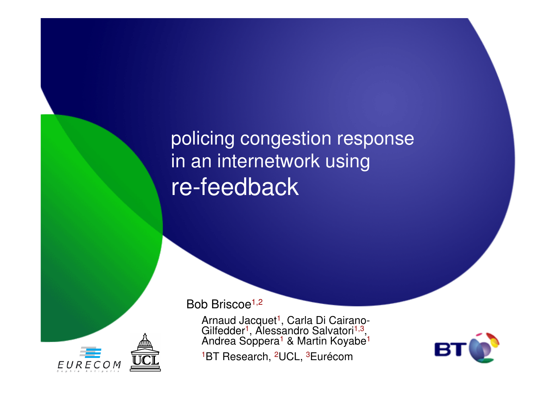policing congestion response in an internetwork usingre-feedback



Bob Briscoe<sup>1,2</sup>

Arnaud Jacquet <sup>1</sup>, Carla Di Cairano-Gilfedder Gilfedder<sup>1</sup>, Alessandro Salvatori<sup>1,3</sup>,<br>Andrea Soppera<sup>1</sup> & Martin Koyabe<sup>1</sup> <sup>1</sup>BT Research, <sup>2</sup>UCL, <sup>3</sup>Eurécom

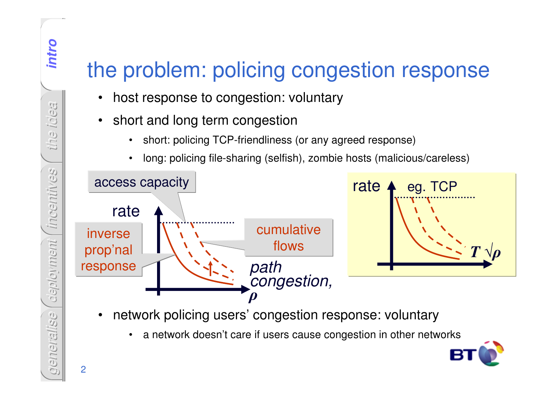## the problem: policing congestion response

- $\bullet$ host response to congestion: voluntary
- $\bullet$  short and long term congestion
	- •short: policing TCP-friendliness (or any agreed response)
	- •long: policing file-sharing (selfish), zombie hosts (malicious/careless)



- • network policing users' congestion response: voluntary
	- •a network doesn't care if users cause congestion in other networks



2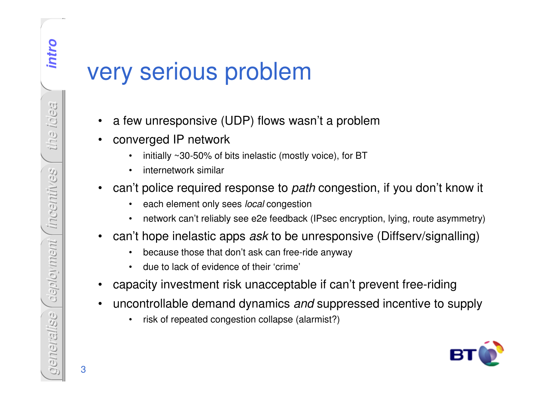## very serious problem

- •a few unresponsive (UDP) flows wasn't a problem
- • converged IP network
	- •initially ~30-50% of bits inelastic (mostly voice), for BT
	- •internetwork similar
- • can't police required response to *path* congestion, if you don't know it
	- •each element only sees *local* congestion
	- •network can't reliably see e2e feedback (IPsec encryption, lying, route asymmetry)
- $\bullet$  can't hope inelastic apps *ask* to be unresponsive (Diffserv/signalling)
	- •because those that don't ask can free-ride anyway
	- •due to lack of evidence of their 'crime'
- •capacity investment risk unacceptable if can't prevent free-riding
- $\bullet$  uncontrollable demand dynamics *and* suppressed incentive to supply
	- •risk of repeated congestion collapse (alarmist?)

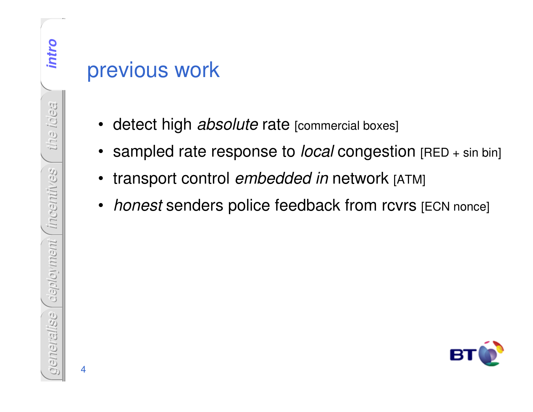#### previous work

- detect high *absolute* rate [commercial boxes]
- sampled rate response to *local* congestion [RED + sin bin]
- •transport control *embedded in* network [ATM]
- $\bullet$ *honest* senders police feedback from rcvrs [ECN nonce]

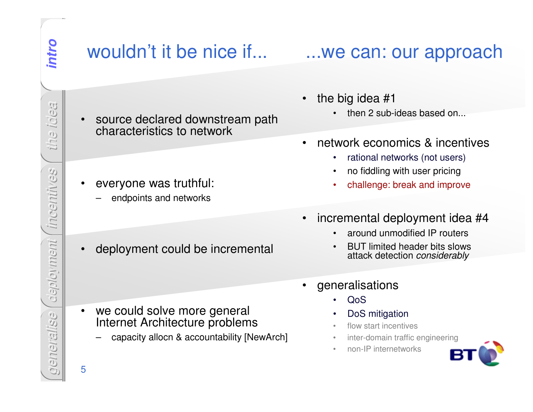$\bullet$ 

#### wouldn't it be nice if...

...we can: our approach

- $\bullet$  the big idea #1
	- then 2 sub-ideas based on... •
	- • network economics & incentives
		- $\bullet$ rational networks (not users)
		- •no fiddling with user pricing
		- challenge: break and improve•
	- • incremental deployment idea #4
		- •around unmodified IP routers
		- • BUT limited header bits slows attack detection *considerably*
- • generalisations
	- •QoS
	- DoS mitigation•
	- flow start incentives•
	- •inter-domain traffic engineering
	- •non-IP internetworks



*the idea* incentines *incentives* deployment *deployment generalise*

- source declared downstream path characteristics to network
- • everyone was truthful:
	- –endpoints and networks
- •deployment could be incremental

- we could solve more general Internet Architecture problems
	- capacity allocn & accountability [NewArch] –
- 5

•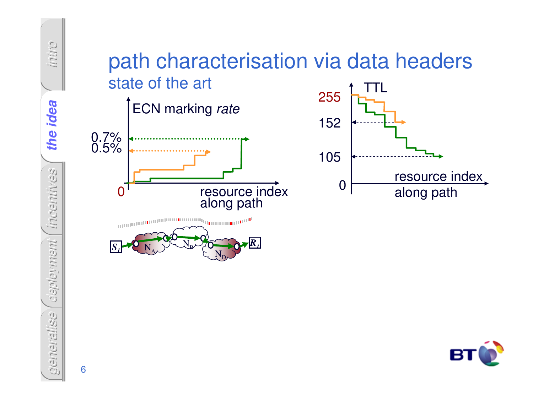

6

*generalise*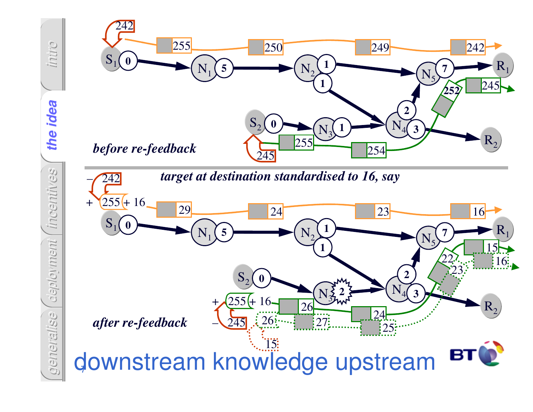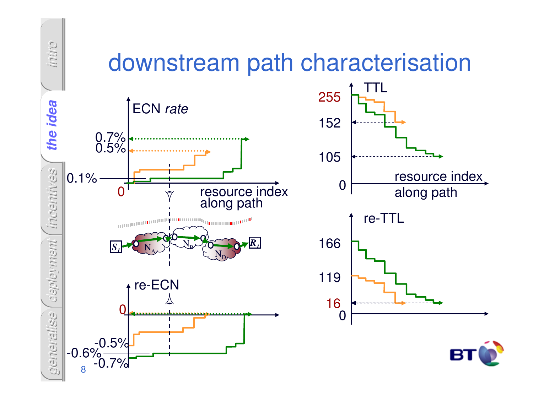## downstream path characterisation



*intro*



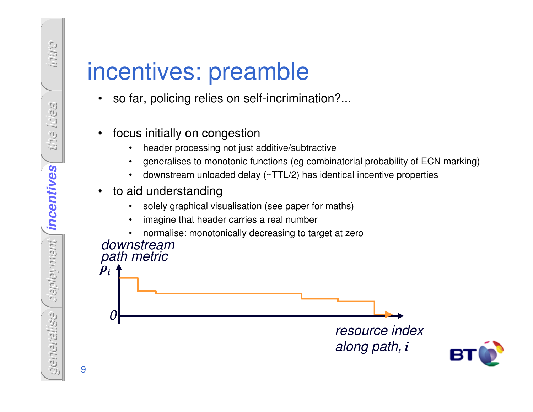*intro the idea* deployment *incentives incentives incentives deployment generalise*

## incentives: preamble

- so far, policing relies on self-incrimination?...  $\bullet$
- $\bullet$  focus initially on congestion
	- header processing not just additive/subtractive•
	- generalises to monotonic functions (eg combinatorial probability of ECN marking)•
	- •downstream unloaded delay (~TTL/2) has identical incentive properties
- $\bullet$  to aid understanding
	- solely graphical visualisation (see paper for maths)•
	- •imagine that header carries a real number
	- •normalise: monotonically decreasing to target at zero



9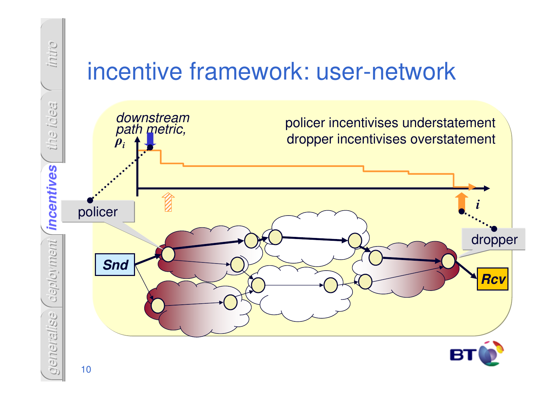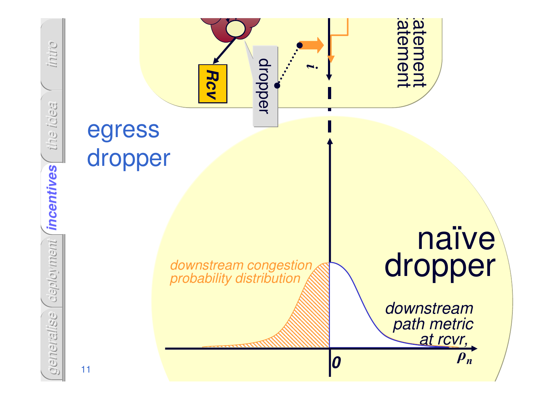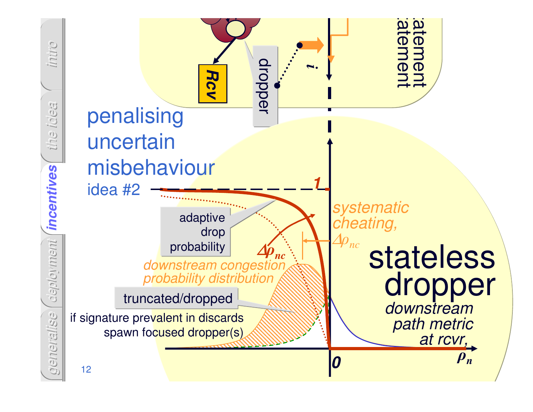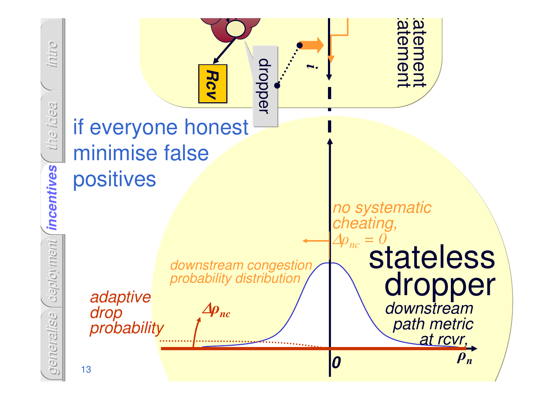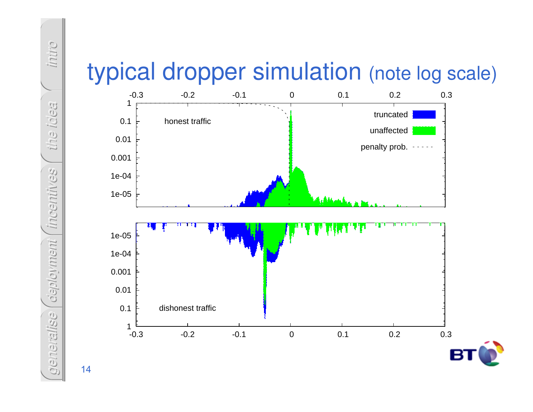



*intro the idea incentives deployment*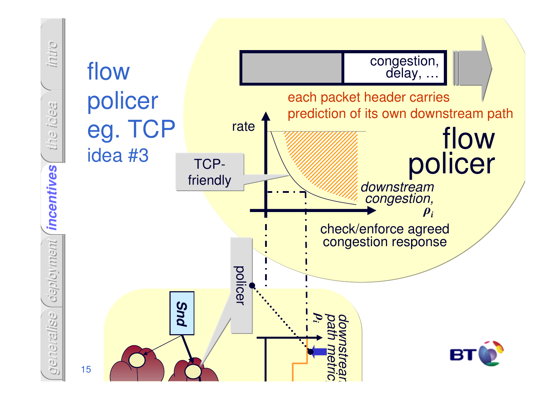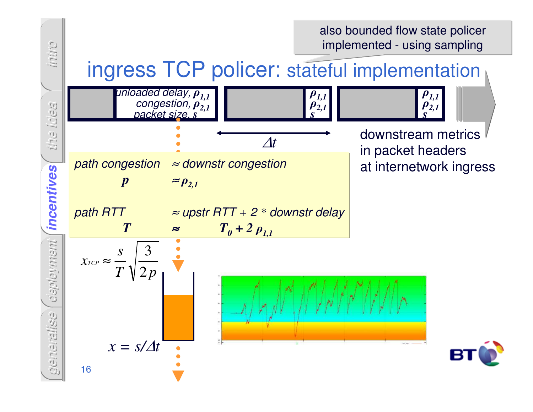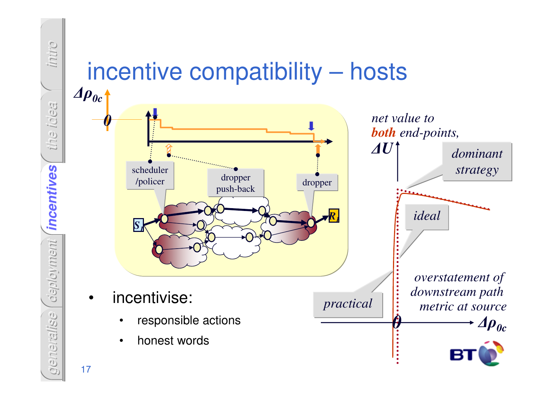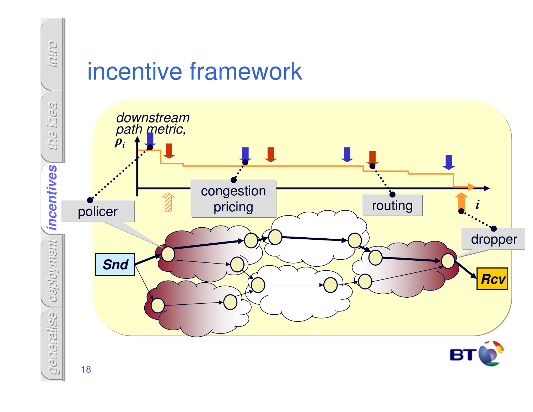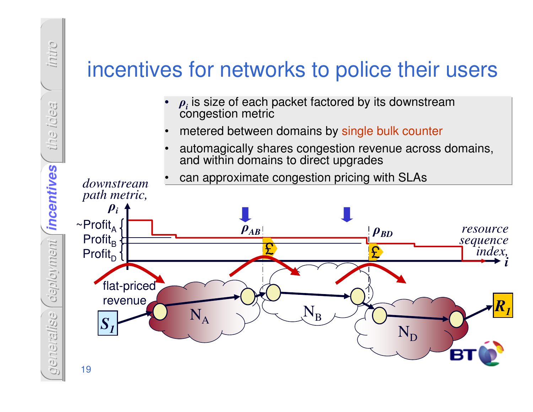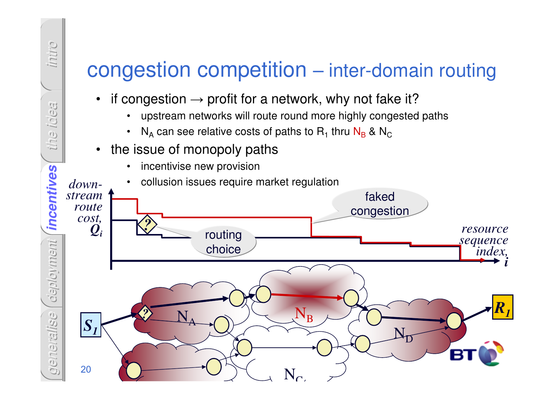#### congestion competition – inter-domain routing

- $\bullet$ if congestion  $\rightarrow$  profit for a network, why not fake it?<br>  $\cdot$  upstream networks will route round more highly congested
	- •upstream networks will route round more highly congested paths
	- • $N_A$  can see relative costs of paths to  $R_1$  thru  $N_B$  &  $N_C$
- the issue of monopoly paths•

*intro*

*the idea*

•incentivise new provision



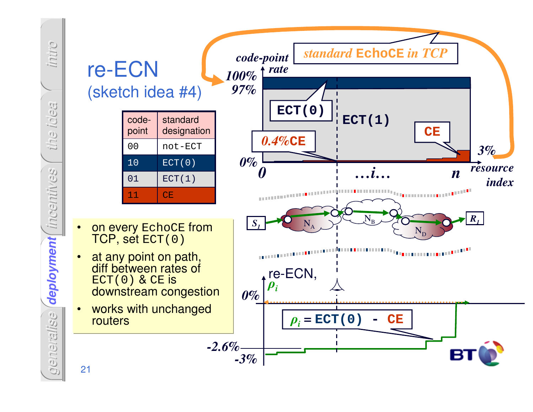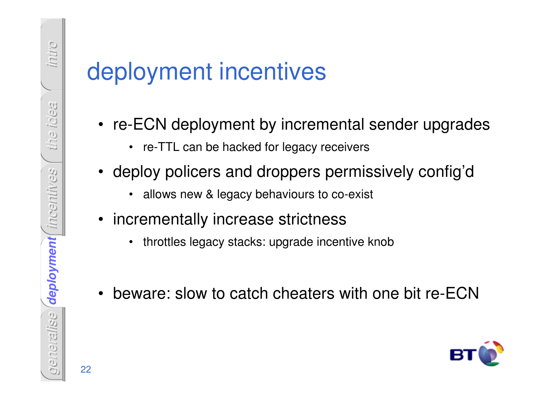# deployment incentives

- re-ECN deployment by incremental sender upgrades
	- re-TTL can be hacked for legacy receivers
- deploy policers and droppers permissively config'd
	- allows new & legacy behaviours to co-exist
- incrementally increase strictness
	- $\bullet$ throttles legacy stacks: upgrade incentive knob
- beware: slow to catch cheaters with one bit re-ECN

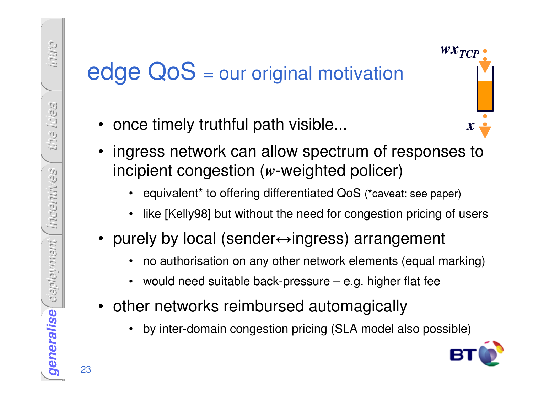# edge QoS = our original motivation

- •once timely truthful path visible...
- ingress network can allow spectrum of responses to incipient congestion (*w*-weighted policer)
	- •equivalent\* to offering differentiated QoS (\*caveat: see paper)
	- •like [Kelly98] but without the need for congestion pricing of users
- purely by local (sender↔ingress) arrangement
	- •no authorisation on any other network elements (equal marking)
	- •would need suitable back-pressure – e.g. higher flat fee
- • other networks reimbursed automagically
	- •by inter-domain congestion pricing (SLA model also possible)



*x*

*wxTCP* 

23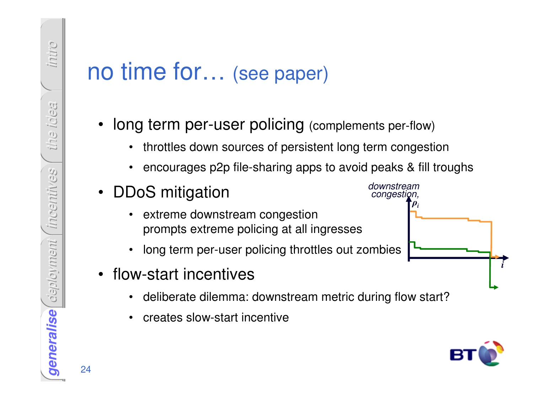#### no time for… (see paper)

- • long term per-user policing (complements per-flow)
	- $\bullet$ throttles down sources of persistent long term congestion
	- •encourages p2p file-sharing apps to avoid peaks & fill troughs
- • DDoS mitigation
	- • extreme downstream congestionprompts extreme policing at all ingresses
	- •long term per-user policing throttles out zombies
- • flow-start incentives
	- •deliberate dilemma: downstream metric during flow start?
	- •creates slow-start incentive



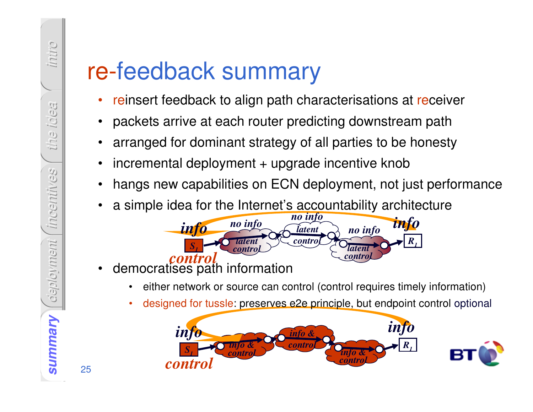## re-feedback summary

- •reinsert feedback to align path characterisations at receiver
- •packets arrive at each router predicting downstream path
- •arranged for dominant strategy of all parties to be honesty
- •incremental deployment + upgrade incentive knob
- •hangs new capabilities on ECN deployment, not just performance
- •a simple idea for the Internet's accountability architecture<br>no info



- • democratises path information
	- •either network or source can control (control requires timely information)
	- •designed for tussle: preserves e2e principle, but endpoint control optional



25

*intro*

*the idea*

*incentives*

Behitingship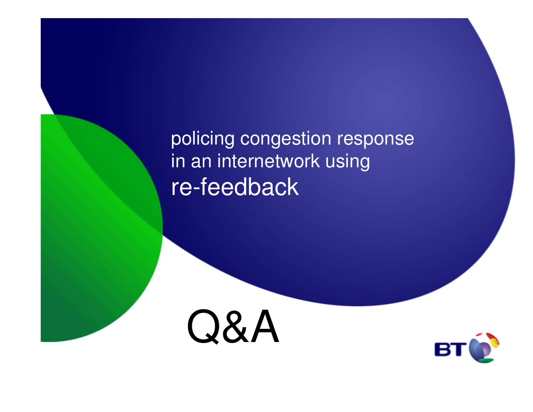policing congestion response in an internetwork usingre-feedback



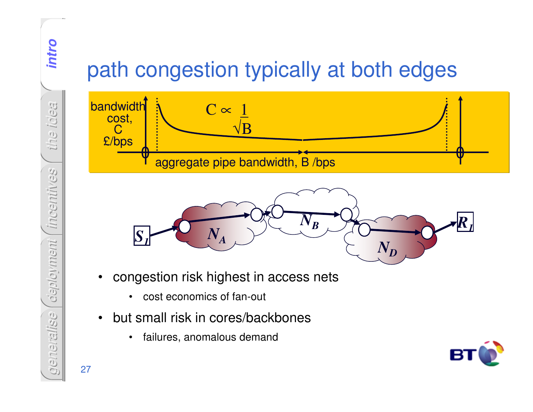## path congestion typically at both edges





- • congestion risk highest in access nets
	- $\bullet$ cost economics of fan-out
- $\bullet$  but small risk in cores/backbones
	- $\bullet$ failures, anomalous demand



27

*intro*

*the idea*

*incentives*

Beylitical

*deployment*

deployment

*generalise*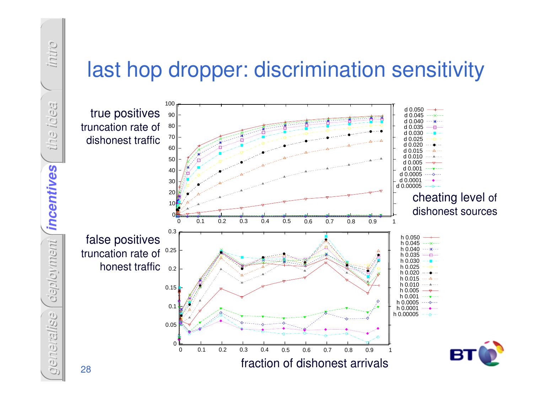#### last hop dropper: discrimination sensitivity



*intro the idea* incentives *incentives incentives* deployment *deployment generalise*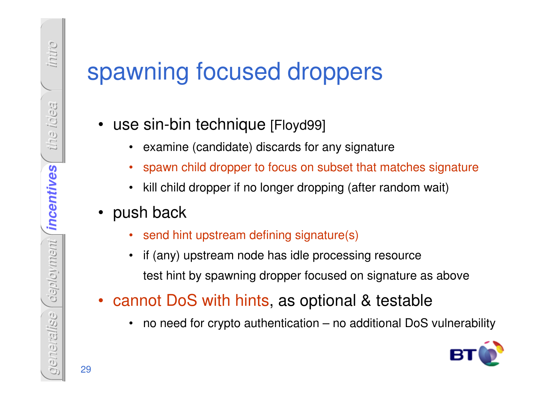## spawning focused droppers

- • use sin-bin technique [Floyd99]
	- $\bullet$ examine (candidate) discards for any signature
	- •spawn child dropper to focus on subset that matches signature
	- •kill child dropper if no longer dropping (after random wait)

#### • push back

- •send hint upstream defining signature(s)
- • if (any) upstream node has idle processing resourcetest hint by spawning dropper focused on signature as above
- cannot DoS with hints, as optional & testable
	- •no need for crypto authentication – no additional DoS vulnerability

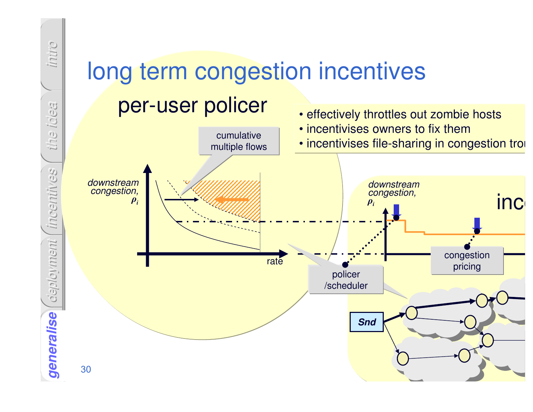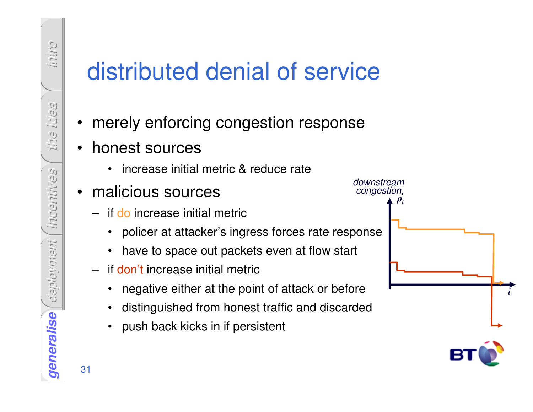# distributed denial of service

- •merely enforcing congestion response
- • honest sources
	- increase initial metric & reduce rate
- • malicious sources
	- if do increase initial metric
		- policer at attacker's ingress forces rate response
		- have to space out packets even at flow start
	- if don't increase initial metric
		- •negative either at the point of attack or before
		- •distinguished from honest traffic and discarded
		- push back kicks in if persistent